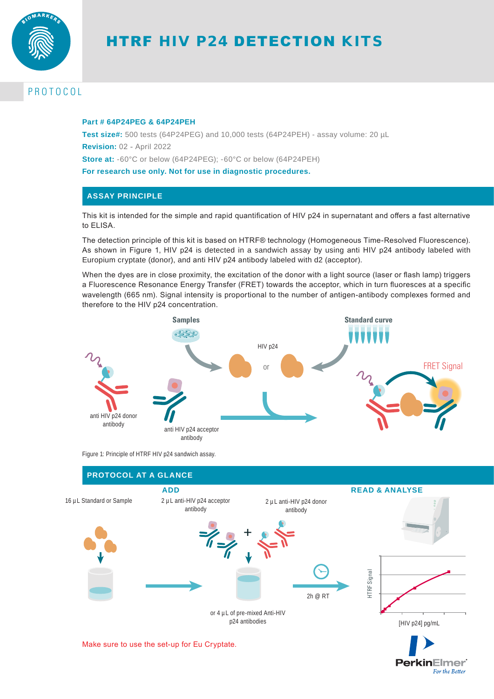

# HTRF HIV P24 DETECTION KITS

# PROTOCOL

#### **Part # 64P24PEG & 64P24PEH**

**Test size#:** 500 tests (64P24PEG) and 10,000 tests (64P24PEH) - assay volume: 20 µL **Revision:** 02 - April 2022 **Store at:** -60°C or below (64P24PEG); -60°C or below (64P24PEH) **For research use only. Not for use in diagnostic procedures.**

## **ASSAY PRINCIPLE**

This kit is intended for the simple and rapid quantification of HIV p24 in supernatant and offers a fast alternative to ELISA.

The detection principle of this kit is based on HTRF® technology (Homogeneous Time-Resolved Fluorescence). As shown in Figure 1, HIV p24 is detected in a sandwich assay by using anti HIV p24 antibody labeled with Europium cryptate (donor), and anti HIV p24 antibody labeled with d2 (acceptor).

When the dyes are in close proximity, the excitation of the donor with a light source (laser or flash lamp) triggers a Fluorescence Resonance Energy Transfer (FRET) towards the acceptor, which in turn fluoresces at a specific wavelength (665 nm). Signal intensity is proportional to the number of antigen-antibody complexes formed and therefore to the HIV p24 concentration.



Figure 1: Principle of HTRF HIV p24 sandwich assay.



**PerkinElmer** For the Better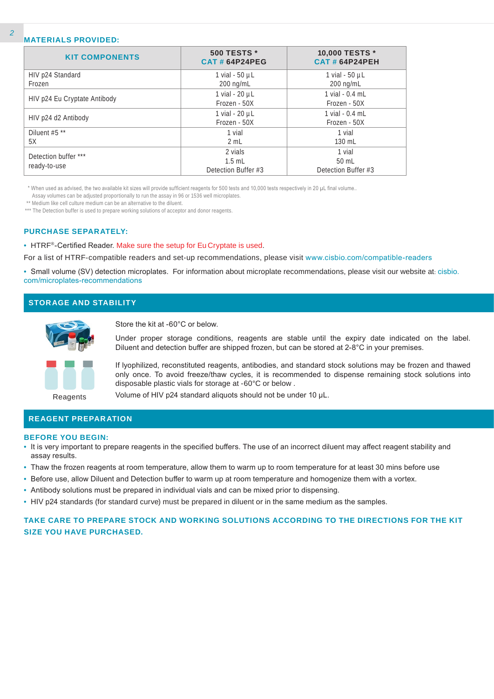#### **MATERIALS PROVIDED:**

| <b>KIT COMPONENTS</b>        | <b>500 TESTS *</b><br><b>CAT#64P24PEG</b> | 10,000 TESTS *<br><b>CAT # 64P24PEH</b> |
|------------------------------|-------------------------------------------|-----------------------------------------|
| HIV p24 Standard             | 1 vial - $50 \mu L$                       | 1 vial - 50 µL                          |
| Frozen                       | $200$ ng/mL                               | $200$ ng/mL                             |
|                              | 1 vial - 20 µL                            | 1 vial $-0.4$ mL                        |
| HIV p24 Eu Cryptate Antibody | Frozen - 50X                              | Frozen - 50X                            |
|                              | 1 vial - 20 µL                            | $1$ vial - $0.4$ mL                     |
| HIV p24 d2 Antibody          | Frozen - 50X                              | Frozen - 50X                            |
| Diluent #5 **                | 1 vial                                    | 1 vial                                  |
| 5X                           | 2 mL                                      | 130 mL                                  |
| Detection buffer ***         | 2 vials                                   | 1 vial                                  |
|                              | $1.5$ mL                                  | $50$ mL                                 |
| ready-to-use                 | Detection Buffer #3                       | Detection Buffer #3                     |

\* When used as advised, the two available kit sizes will provide sufficient reagents for 500 tests and 10,000 tests respectively in 20 µL final volume..

Assay volumes can be adjusted proportionally to run the assay in 96 or 1536 well microplates.

\*\* Medium like cell culture medium can be an alternative to the diluent.

\*\*\* The Detection buffer is used to prepare working solutions of acceptor and donor reagents.

#### **PURCHASE SEPARATELY:**

• HTRF®-Certified Reader. Make sure the setup for Eu Cryptate is used.

For a list of HTRF-compatible readers and set-up recommendations, please visit www.cisbio.com/compatible-readers

• Small volume (SV) detection microplates. For information about microplate recommendations, please visit our website at: cisbio. com/microplates-recommendations

#### **STORAGE AND STABILITY**



Store the kit at -60°C or below.

Under proper storage conditions, reagents are stable until the expiry date indicated on the label. Diluent and detection buffer are shipped frozen, but can be stored at 2-8°C in your premises.

If lyophilized, reconstituted reagents, antibodies, and standard stock solutions may be frozen and thawed only once. To avoid freeze/thaw cycles, it is recommended to dispense remaining stock solutions into disposable plastic vials for storage at -60°C or below .

Reagents

Volume of HIV p24 standard aliquots should not be under 10 µL.

#### **REAGENT PREPARATION**

#### **BEFORE YOU BEGIN:**

- It is very important to prepare reagents in the specified buffers. The use of an incorrect diluent may affect reagent stability and assay results.
- Thaw the frozen reagents at room temperature, allow them to warm up to room temperature for at least 30 mins before use
- Before use, allow Diluent and Detection buffer to warm up at room temperature and homogenize them with a vortex.
- Antibody solutions must be prepared in individual vials and can be mixed prior to dispensing.
- HIV p24 standards (for standard curve) must be prepared in diluent or in the same medium as the samples.

## **TAKE CARE TO PREPARE STOCK AND WORKING SOLUTIONS ACCORDING TO THE DIRECTIONS FOR THE KIT SIZE YOU HAVE PURCHASED.**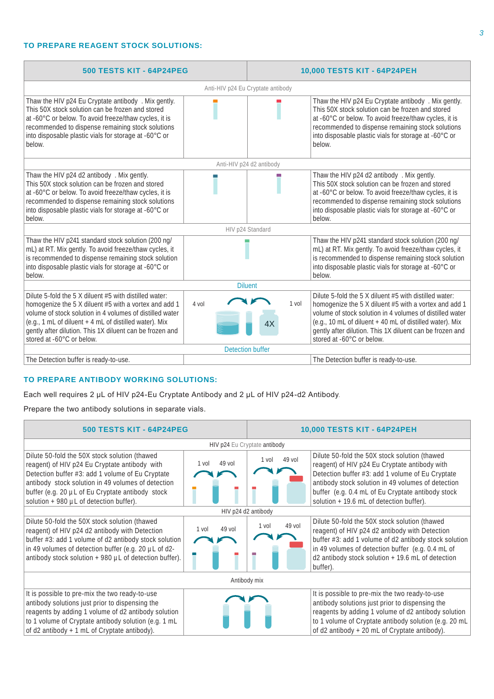### **TO PREPARE REAGENT STOCK SOLUTIONS:**

| <b>500 TESTS KIT - 64P24PEG</b>                                                                                                                                                                                                                                                                                                |                                   | 10,000 TESTS KIT - 64P24PEH |                                                                                                                                                                                                                                                                                                                                  |  |  |
|--------------------------------------------------------------------------------------------------------------------------------------------------------------------------------------------------------------------------------------------------------------------------------------------------------------------------------|-----------------------------------|-----------------------------|----------------------------------------------------------------------------------------------------------------------------------------------------------------------------------------------------------------------------------------------------------------------------------------------------------------------------------|--|--|
|                                                                                                                                                                                                                                                                                                                                | Anti-HIV p24 Eu Cryptate antibody |                             |                                                                                                                                                                                                                                                                                                                                  |  |  |
| Thaw the HIV p24 Eu Cryptate antibody . Mix gently.<br>This 50X stock solution can be frozen and stored<br>at -60°C or below. To avoid freeze/thaw cycles, it is<br>recommended to dispense remaining stock solutions<br>into disposable plastic vials for storage at -60°C or<br>below.                                       |                                   |                             | Thaw the HIV p24 Eu Cryptate antibody . Mix gently.<br>This 50X stock solution can be frozen and stored<br>at -60°C or below. To avoid freeze/thaw cycles, it is<br>recommended to dispense remaining stock solutions<br>into disposable plastic vials for storage at -60°C or<br>below.                                         |  |  |
|                                                                                                                                                                                                                                                                                                                                |                                   | Anti-HIV p24 d2 antibody    |                                                                                                                                                                                                                                                                                                                                  |  |  |
| Thaw the HIV p24 d2 antibody . Mix gently.<br>This 50X stock solution can be frozen and stored<br>at -60°C or below. To avoid freeze/thaw cycles, it is<br>recommended to dispense remaining stock solutions<br>into disposable plastic vials for storage at -60°C or<br>below.                                                |                                   |                             | Thaw the HIV p24 d2 antibody . Mix gently.<br>This 50X stock solution can be frozen and stored<br>at -60°C or below. To avoid freeze/thaw cycles, it is<br>recommended to dispense remaining stock solutions<br>into disposable plastic vials for storage at -60°C or<br>below.                                                  |  |  |
| HIV p24 Standard                                                                                                                                                                                                                                                                                                               |                                   |                             |                                                                                                                                                                                                                                                                                                                                  |  |  |
| Thaw the HIV p241 standard stock solution (200 ng/<br>mL) at RT. Mix gently. To avoid freeze/thaw cycles, it<br>is recommended to dispense remaining stock solution<br>into disposable plastic vials for storage at -60°C or<br>below.                                                                                         |                                   |                             | Thaw the HIV p241 standard stock solution (200 ng/<br>mL) at RT. Mix gently. To avoid freeze/thaw cycles, it<br>is recommended to dispense remaining stock solution<br>into disposable plastic vials for storage at -60°C or<br>below.                                                                                           |  |  |
| <b>Diluent</b>                                                                                                                                                                                                                                                                                                                 |                                   |                             |                                                                                                                                                                                                                                                                                                                                  |  |  |
| Dilute 5-fold the 5 X diluent #5 with distilled water:<br>homogenize the 5 X diluent #5 with a vortex and add 1<br>volume of stock solution in 4 volumes of distilled water<br>(e.g., 1 mL of diluent + 4 mL of distilled water). Mix<br>gently after dilution. This 1X diluent can be frozen and<br>stored at -60°C or below. | $4$ vol                           | $1$ vol<br>4X               | Dilute 5-fold the 5 X diluent #5 with distilled water:<br>homogenize the 5 X diluent #5 with a vortex and add 1<br>volume of stock solution in 4 volumes of distilled water<br>(e.g., 10 mL of diluent + 40 mL of distilled water). Mix<br>gently after dilution. This 1X diluent can be frozen and<br>stored at -60°C or below. |  |  |
| <b>Detection buffer</b>                                                                                                                                                                                                                                                                                                        |                                   |                             |                                                                                                                                                                                                                                                                                                                                  |  |  |
| The Detection buffer is ready-to-use.                                                                                                                                                                                                                                                                                          |                                   |                             | The Detection buffer is ready-to-use.                                                                                                                                                                                                                                                                                            |  |  |

## **TO PREPARE ANTIBODY WORKING SOLUTIONS:**

Each well requires 2 µL of HIV p24-Eu Cryptate Antibody and 2 µL of HIV p24-d2 Antibody.

Prepare the two antibody solutions in separate vials.

| <b>500 TESTS KIT - 64P24PEG</b>                                                                                                                                                                                                                                                                          |                   | 10,000 TESTS KIT - 64P24PEH |          |                                                                                                                                                                                                                                                                                                           |  |
|----------------------------------------------------------------------------------------------------------------------------------------------------------------------------------------------------------------------------------------------------------------------------------------------------------|-------------------|-----------------------------|----------|-----------------------------------------------------------------------------------------------------------------------------------------------------------------------------------------------------------------------------------------------------------------------------------------------------------|--|
| HIV p24 Eu Cryptate antibody                                                                                                                                                                                                                                                                             |                   |                             |          |                                                                                                                                                                                                                                                                                                           |  |
| Dilute 50-fold the 50X stock solution (thawed<br>reagent) of HIV p24 Eu Cryptate antibody with<br>Detection buffer #3: add 1 volume of Eu Cryptate<br>antibody stock solution in 49 volumes of detection<br>buffer (e.g. 20 µL of Eu Cryptate antibody stock<br>solution $+980$ µL of detection buffer). | $49$ vol<br>1 vol | 1 vol                       | 49 vol   | Dilute 50-fold the 50X stock solution (thawed<br>reagent) of HIV p24 Eu Cryptate antibody with<br>Detection buffer #3: add 1 volume of Eu Cryptate<br>antibody stock solution in 49 volumes of detection<br>buffer (e.g. 0.4 mL of Eu Cryptate antibody stock<br>solution + 19.6 mL of detection buffer). |  |
|                                                                                                                                                                                                                                                                                                          |                   | HIV p24 d2 antibody         |          |                                                                                                                                                                                                                                                                                                           |  |
| Dilute 50-fold the 50X stock solution (thawed<br>reagent) of HIV p24 d2 antibody with Detection<br>buffer #3: add 1 volume of d2 antibody stock solution<br>in 49 volumes of detection buffer (e.g. 20 µL of d2-<br>antibody stock solution + 980 µL of detection buffer).                               | 49 vol<br>1 vol   | $1$ vol                     | $49$ vol | Dilute 50-fold the 50X stock solution (thawed<br>reagent) of HIV p24 d2 antibody with Detection<br>buffer #3: add 1 volume of d2 antibody stock solution<br>in 49 volumes of detection buffer (e.g. 0.4 mL of<br>d2 antibody stock solution + 19.6 mL of detection<br>buffer).                            |  |
| Antibody mix                                                                                                                                                                                                                                                                                             |                   |                             |          |                                                                                                                                                                                                                                                                                                           |  |
| It is possible to pre-mix the two ready-to-use<br>antibody solutions just prior to dispensing the<br>reagents by adding 1 volume of d2 antibody solution<br>to 1 volume of Cryptate antibody solution (e.g. 1 mL<br>of d2 antibody + 1 mL of Cryptate antibody).                                         |                   |                             |          | It is possible to pre-mix the two ready-to-use<br>antibody solutions just prior to dispensing the<br>reagents by adding 1 volume of d2 antibody solution<br>to 1 volume of Cryptate antibody solution (e.g. 20 mL<br>of d2 antibody $+20$ mL of Cryptate antibody).                                       |  |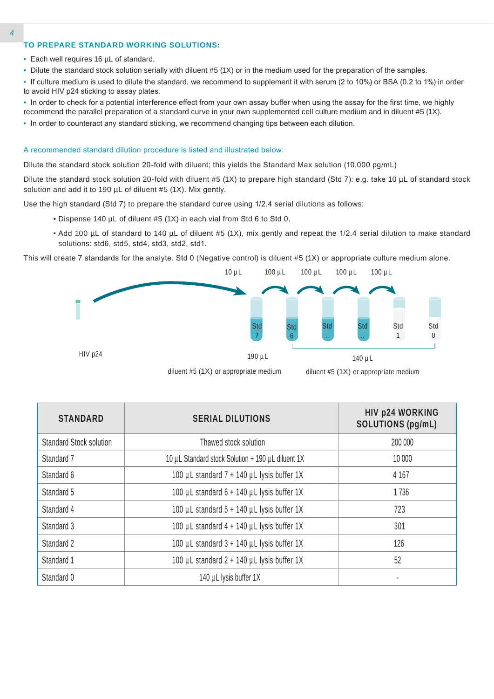#### **TO PREPARE STANDARD WORKING SOLUTIONS:**

- Each well requires 16 µL of standard.
- Dilute the standard stock solution serially with diluent #5 (1X) or in the medium used for the preparation of the samples.
- If culture medium is used to dilute the standard, we recommend to supplement it with serum (2 to 10%) or BSA (0.2 to 1%) in order to avoid HIV p24 sticking to assay plates.
- In order to check for a potential interference effect from your own assay buffer when using the assay for the first time, we highly recommend the parallel preparation of a standard curve in your own supplemented cell culture medium and in diluent #5 (1X).
- In order to counteract any standard sticking, we recommend changing tips between each dilution.

#### A recommended standard dilution procedure is listed and illustrated below:

Dilute the standard stock solution 20-fold with diluent; this yields the Standard Max solution (10,000 pg/mL)

Dilute the standard stock solution 20-fold with diluent #5 (1X) to prepare high standard (Std 7): e.g. take 10 µL of standard stock solution and add it to 190 µL of diluent #5 (1X). Mix gently.

Use the high standard (Std 7) to prepare the standard curve using 1/2.4 serial dilutions as follows:

- Dispense 140 µL of diluent #5 (1X) in each vial from Std 6 to Std 0.
- Add 100 µL of standard to 140 µL of diluent #5 (1X), mix gently and repeat the 1/2.4 serial dilution to make standard solutions: std6, std5, std4, std3, std2, std1.

This will create 7 standards for the analyte. Std 0 (Negative control) is diluent #5 (1X) or appropriate culture medium alone.



| <b>STANDARD</b>                | <b>SERIAL DILUTIONS</b>                           | <b>HIV p24 WORKING</b><br><b>SOLUTIONS (pg/mL)</b> |
|--------------------------------|---------------------------------------------------|----------------------------------------------------|
| <b>Standard Stock solution</b> | Thawed stock solution                             | 200 000                                            |
| Standard 7                     | 10 µL Standard stock Solution + 190 µL diluent 1X | 10 000                                             |
| Standard 6                     | 100 µL standard $7 + 140$ µL lysis buffer 1X      | 4 1 6 7                                            |
| Standard 5                     | 100 µL standard 6 + 140 µL lysis buffer 1X        | 1736                                               |
| Standard 4                     | 100 µL standard 5 + 140 µL lysis buffer 1X        | 723                                                |
| Standard 3                     | 100 µL standard 4 + 140 µL lysis buffer 1X        | 301                                                |
| Standard 2                     | 100 µL standard $3 + 140$ µL lysis buffer 1X      | 126                                                |
| Standard 1                     | 100 µL standard 2 + 140 µL lysis buffer 1X        | 52                                                 |
| Standard 0                     | 140 µL lysis buffer 1X                            |                                                    |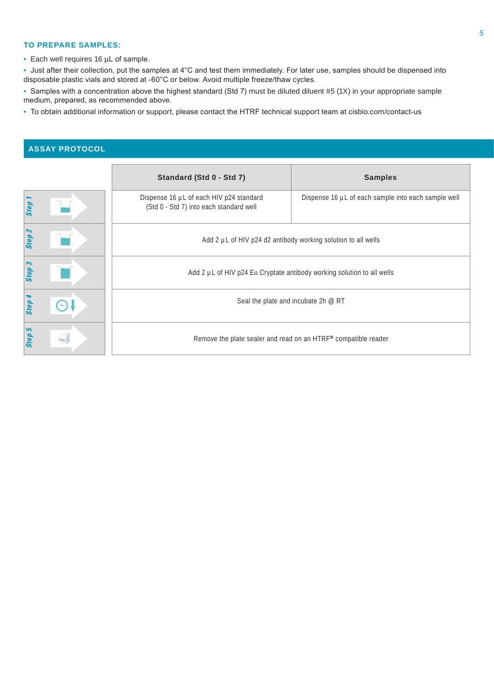#### **TO PREPARE SAMPLES:**

• Each well requires 16 µL of sample.

• Just after their collection, put the samples at 4°C and test them immediately. For later use, samples should be dispensed into disposable plastic vials and stored at -60°C or below. Avoid multiple freeze/thaw cycles.

• Samples with a concentration above the highest standard (Std 7) must be diluted diluent #5 (1X) in your appropriate sample medium, prepared, as recommended above.

• To obtain additional information or support, please contact the HTRF technical support team at cisbio.com/contact-us

## **ASSAY PROTOCOL**

|                   | Standard (Std 0 - Std 7)                                                           | <b>Samples</b>                                      |  |  |  |
|-------------------|------------------------------------------------------------------------------------|-----------------------------------------------------|--|--|--|
| Step              | Dispense 16 µL of each HIV p24 standard<br>(Std 0 - Std 7) into each standard well | Dispense 16 µL of each sample into each sample well |  |  |  |
| Step <sub>2</sub> | Add 2 µL of HIV p24 d2 antibody working solution to all wells                      |                                                     |  |  |  |
| Step 3            | Add 2 µL of HIV p24 Eu Cryptate antibody working solution to all wells             |                                                     |  |  |  |
| Step              | Seal the plate and incubate 2h @ RT                                                |                                                     |  |  |  |
| Step 5            | Remove the plate sealer and read on an HTRF <sup>®</sup> compatible reader         |                                                     |  |  |  |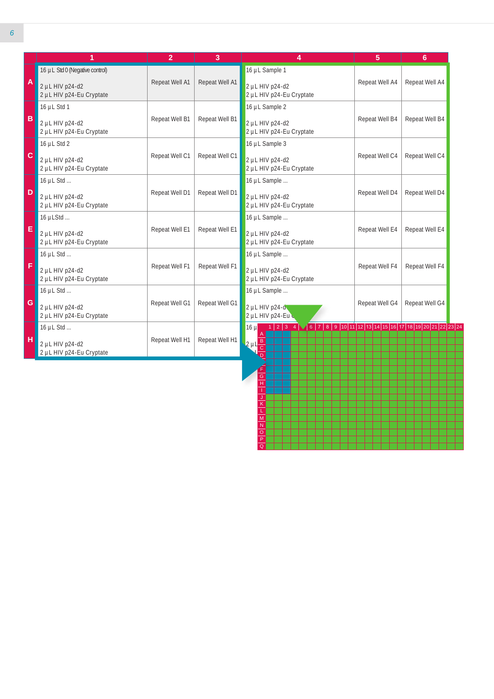|              | 1                                           | $\overline{2}$ | 3              | 4                                                                                                                           | 5              | $6\phantom{1}$ |
|--------------|---------------------------------------------|----------------|----------------|-----------------------------------------------------------------------------------------------------------------------------|----------------|----------------|
|              | 16 µL Std 0 (Negative control)              |                |                | 16 µL Sample 1                                                                                                              |                |                |
| A            | 2 µL HIV p24-d2<br>2 µL HIV p24-Eu Cryptate | Repeat Well A1 | Repeat Well A1 | 2 µL HIV p24-d2<br>2 µL HIV p24-Eu Cryptate                                                                                 | Repeat Well A4 | Repeat Well A4 |
|              | 16 µL Std 1                                 |                |                | 16 µL Sample 2                                                                                                              |                |                |
| $\mathbf{B}$ | 2 µL HIV p24-d2<br>2 µL HIV p24-Eu Cryptate | Repeat Well B1 | Repeat Well B1 | 2 µL HIV p24-d2<br>2 µL HIV p24-Eu Cryptate                                                                                 | Repeat Well B4 | Repeat Well B4 |
|              | 16 µL Std 2                                 |                |                | 16 µL Sample 3                                                                                                              |                |                |
| $\mathbf c$  | 2 µL HIV p24-d2<br>2 µL HIV p24-Eu Cryptate | Repeat Well C1 | Repeat Well C1 | 2 µL HIV p24-d2<br>2 µL HIV p24-Eu Cryptate                                                                                 | Repeat Well C4 | Repeat Well C4 |
|              | 16 µL Std                                   |                |                | 16 µL Sample                                                                                                                |                |                |
| D            | 2 µL HIV p24-d2<br>2 µL HIV p24-Eu Cryptate | Repeat Well D1 | Repeat Well D1 | 2 µL HIV p24-d2<br>2 µL HIV p24-Eu Cryptate                                                                                 | Repeat Well D4 | Repeat Well D4 |
|              | $16 \mu$ LStd                               |                |                | 16 µL Sample                                                                                                                |                |                |
| E            | 2 µL HIV p24-d2<br>2 µL HIV p24-Eu Cryptate | Repeat Well E1 | Repeat Well E1 | 2 µL HIV p24-d2<br>2 µL HIV p24-Eu Cryptate                                                                                 | Repeat Well E4 | Repeat Well E4 |
|              | 16 µL Std                                   |                |                | 16 µL Sample                                                                                                                |                |                |
| F            | 2 µL HIV p24-d2<br>2 µL HIV p24-Eu Cryptate | Repeat Well F1 | Repeat Well F1 | 2 µL HIV p24-d2<br>2 µL HIV p24-Eu Cryptate                                                                                 | Repeat Well F4 | Repeat Well F4 |
|              | 16 µL Std                                   |                |                | 16 µL Sample                                                                                                                |                |                |
| G            | 2 µL HIV p24-d2<br>2 µL HIV p24-Eu Cryptate | Repeat Well G1 | Repeat Well G1 | $2 \mu L$ HIV p24- $\alpha$<br>2 µL HIV p24-Eu                                                                              | Repeat Well G4 | Repeat Well G4 |
|              | 16 µL Std                                   |                |                | $1   2   3   4 \sqrt{6   7   8   9   10   11   12   13   14   15   16   17   18   19   20   21   22   23   24}$<br>$16 \mu$ |                |                |
| H            | 2 µL HIV p24-d2<br>2 µL HIV p24-Eu Cryptate | Repeat Well H1 | Repeat Well H1 | $\frac{B}{C}$<br>$2 \mu L$                                                                                                  |                |                |

H I J K L M N O P Q